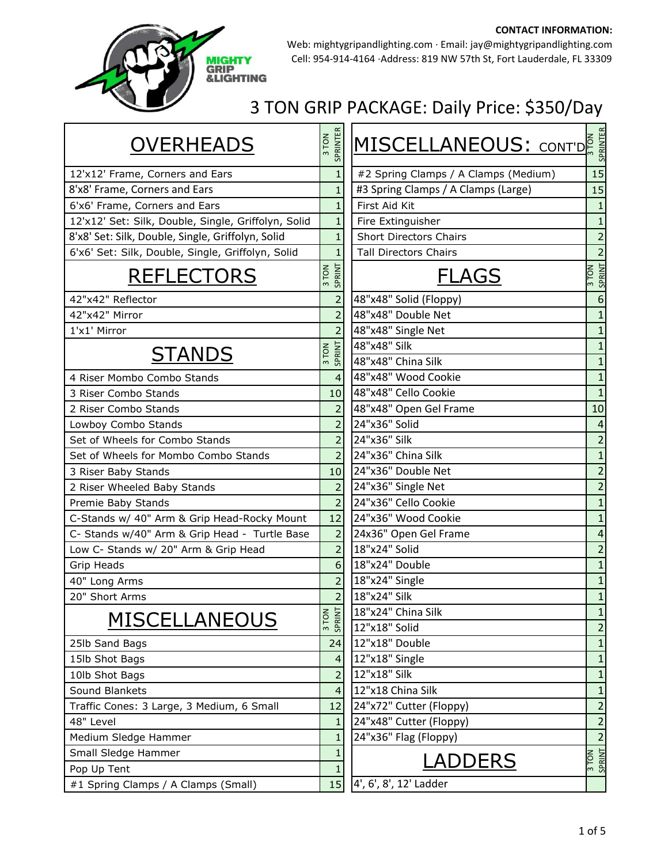

Web: mightygripandlighting.com ∙ Email: jay@mightygripandlighting.com Cell: 954‐914‐4164 ∙Address: 819 NW 57th St, Fort Lauderdale, FL 33309

| <b>OVERHEADS</b>                                    | SPRINTER<br>3 TON | MISCELLANEOUS: CONT'DE               |                       |
|-----------------------------------------------------|-------------------|--------------------------------------|-----------------------|
| 12'x12' Frame, Corners and Ears                     | $\mathbf{1}$      | #2 Spring Clamps / A Clamps (Medium) | 15                    |
| 8'x8' Frame, Corners and Ears                       | $\mathbf{1}$      | #3 Spring Clamps / A Clamps (Large)  | 15                    |
| 6'x6' Frame, Corners and Ears                       | 1                 | First Aid Kit                        |                       |
| 12'x12' Set: Silk, Double, Single, Griffolyn, Solid | $\mathbf{1}$      | Fire Extinguisher                    | 1                     |
| 8'x8' Set: Silk, Double, Single, Griffolyn, Solid   |                   | <b>Short Directors Chairs</b>        | 2                     |
| 6'x6' Set: Silk, Double, Single, Griffolyn, Solid   | 1                 | <b>Tall Directors Chairs</b>         | $\overline{2}$        |
| <b>REFLECTORS</b>                                   | SPRINT<br>3 TON   | <b>FLAGS</b>                         | SPRINT<br>3 TON       |
| 42"x42" Reflector                                   | $\overline{2}$    | 48"x48" Solid (Floppy)               | 6                     |
| 42"x42" Mirror                                      | $\overline{2}$    | 48"x48" Double Net                   |                       |
| 1'x1' Mirror                                        | 2                 | 48"x48" Single Net                   | $\mathbf{1}$          |
| <b>STANDS</b>                                       | SPRINT<br>3 TON   | 48"x48" Silk                         | 1                     |
|                                                     |                   | 48"x48" China Silk                   |                       |
| 4 Riser Mombo Combo Stands                          | $\overline{4}$    | 48"x48" Wood Cookie                  | $\mathbf{1}$          |
| 3 Riser Combo Stands                                | 10                | 48"x48" Cello Cookie                 | $\mathbf{1}$          |
| 2 Riser Combo Stands                                | 2                 | 48"x48" Open Gel Frame               | 10                    |
| Lowboy Combo Stands                                 | $\overline{2}$    | 24"x36" Solid                        | $\boldsymbol{\Delta}$ |
| Set of Wheels for Combo Stands                      | $\overline{2}$    | 24"x36" Silk                         | $\overline{2}$        |
| Set of Wheels for Mombo Combo Stands                | $\overline{2}$    | 24"x36" China Silk                   | $\mathbf{1}$          |
| 3 Riser Baby Stands                                 | 10                | 24"x36" Double Net                   | $\overline{2}$        |
| 2 Riser Wheeled Baby Stands                         | 2                 | 24"x36" Single Net                   | $\overline{2}$        |
| Premie Baby Stands                                  | $\overline{2}$    | 24"x36" Cello Cookie                 | $\mathbf{1}$          |
| C-Stands w/ 40" Arm & Grip Head-Rocky Mount         | 12                | 24"x36" Wood Cookie                  | 1                     |
| C- Stands w/40" Arm & Grip Head - Turtle Base       | $\overline{2}$    | 24x36" Open Gel Frame                | 4                     |
| Low C- Stands w/ 20" Arm & Grip Head                | $\overline{2}$    | 18"x24" Solid                        | $\overline{2}$        |
| Grip Heads                                          | 6                 | 18"x24" Double                       | 1                     |
| 40" Long Arms                                       | $\overline{2}$    | 18"x24" Single                       | $\mathbf{1}$          |
| 20" Short Arms                                      |                   | 18"x24" Silk                         | $\mathbf{1}$          |
| <b>MISCELLANEOUS</b>                                | $z =$             | 18"x24" China Silk                   | $\mathbf{1}$          |
|                                                     | 3TOM              | 12"x18" Solid                        | $\overline{2}$        |
| 25lb Sand Bags                                      | 24                | 12"x18" Double                       | 1                     |
| 15lb Shot Bags                                      | 4                 | 12"x18" Single                       | $\mathbf{1}$          |
| 10lb Shot Bags                                      | 2                 | 12"x18" Silk                         | $\mathbf 1$           |
| Sound Blankets                                      | 4                 | 12"x18 China Silk                    | $\mathbf 1$           |
| Traffic Cones: 3 Large, 3 Medium, 6 Small           | 12                | 24"x72" Cutter (Floppy)              | $\overline{2}$        |
| 48" Level                                           | 1                 | 24"x48" Cutter (Floppy)              | $\overline{c}$        |
| Medium Sledge Hammer                                | 1                 | 24"x36" Flag (Floppy)                | $\overline{2}$        |
| Small Sledge Hammer<br>Pop Up Tent                  | 1<br>1            | <b>LADDERS</b>                       | SPRINT                |
| #1 Spring Clamps / A Clamps (Small)                 | 15                | 4', 6', 8', 12' Ladder               |                       |
|                                                     |                   |                                      |                       |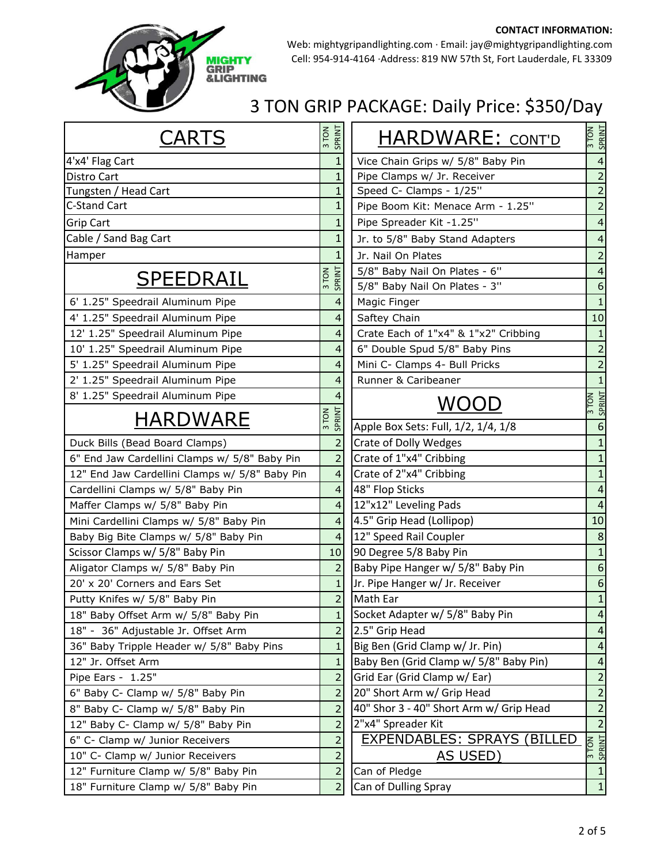

Web: mightygripandlighting.com ∙ Email: jay@mightygripandlighting.com Cell: 954‐914‐4164 ∙Address: 819 NW 57th St, Fort Lauderdale, FL 33309

| <b>CARTS</b>                                   | 3 TON           | SPRINT         | <b>HARDWARE: CONT'D</b>                 | 3 TON<br>SPRINT        |
|------------------------------------------------|-----------------|----------------|-----------------------------------------|------------------------|
| 4'x4' Flag Cart                                |                 |                | Vice Chain Grips w/ 5/8" Baby Pin       | $\overline{4}$         |
| Distro Cart                                    |                 |                | Pipe Clamps w/ Jr. Receiver             | $\overline{2}$         |
| Tungsten / Head Cart                           |                 |                | Speed C- Clamps - 1/25"                 | $\overline{2}$         |
| <b>C-Stand Cart</b>                            |                 |                | Pipe Boom Kit: Menace Arm - 1.25"       | $\overline{2}$         |
| <b>Grip Cart</b>                               |                 | $\mathbf{1}$   | Pipe Spreader Kit -1.25"                | 4                      |
| Cable / Sand Bag Cart                          |                 |                | Jr. to 5/8" Baby Stand Adapters         | 4                      |
| Hamper                                         |                 |                | Jr. Nail On Plates                      | $\overline{2}$         |
|                                                | 3 TON<br>SPRINT |                | 5/8" Baby Nail On Plates - 6"           | 4                      |
| <b>SPEEDRAIL</b>                               |                 |                | 5/8" Baby Nail On Plates - 3"           | 6                      |
| 6' 1.25" Speedrail Aluminum Pipe               |                 | 4              | Magic Finger                            | $\mathbf{1}$           |
| 4' 1.25" Speedrail Aluminum Pipe               |                 | 4              | Saftey Chain                            | 10                     |
| 12' 1.25" Speedrail Aluminum Pipe              |                 | 4              | Crate Each of 1"x4" & 1"x2" Cribbing    | $\mathbf{1}$           |
| 10' 1.25" Speedrail Aluminum Pipe              |                 | 4              | 6" Double Spud 5/8" Baby Pins           | $\overline{2}$         |
| 5' 1.25" Speedrail Aluminum Pipe               |                 | 4              | Mini C- Clamps 4- Bull Pricks           | $\overline{2}$         |
| 2' 1.25" Speedrail Aluminum Pipe               |                 |                | Runner & Caribeaner                     | $\mathbf{1}$           |
| 8' 1.25" Speedrail Aluminum Pipe               |                 |                | <b>WOOD</b>                             | 3 TON<br>SPRINT        |
| HARDWARE                                       | 3 TON<br>SPRINT |                |                                         |                        |
|                                                |                 |                | Apple Box Sets: Full, 1/2, 1/4, 1/8     | 6                      |
| Duck Bills (Bead Board Clamps)                 |                 | $\overline{2}$ | <b>Crate of Dolly Wedges</b>            | $\mathbf{1}$           |
| 6" End Jaw Cardellini Clamps w/ 5/8" Baby Pin  |                 | $\overline{2}$ | Crate of 1"x4" Cribbing                 | $\mathbf{1}$           |
| 12" End Jaw Cardellini Clamps w/ 5/8" Baby Pin |                 | 4              | Crate of 2"x4" Cribbing                 | $\mathbf{1}$           |
| Cardellini Clamps w/ 5/8" Baby Pin             |                 | 4              | 48" Flop Sticks                         | $\overline{4}$         |
| Maffer Clamps w/ 5/8" Baby Pin                 |                 | 4              | 12"x12" Leveling Pads                   | $\boldsymbol{\Lambda}$ |
| Mini Cardellini Clamps w/ 5/8" Baby Pin        |                 | 4              | 4.5" Grip Head (Lollipop)               | 10                     |
| Baby Big Bite Clamps w/ 5/8" Baby Pin          |                 | 4              | 12" Speed Rail Coupler                  | 8                      |
| Scissor Clamps w/ 5/8" Baby Pin                |                 | 10             | 90 Degree 5/8 Baby Pin                  | $\mathbf{1}$           |
| Aligator Clamps w/ 5/8" Baby Pin               |                 | $\overline{2}$ | Baby Pipe Hanger w/ 5/8" Baby Pin       | $6\phantom{1}6$        |
| 20' x 20' Corners and Ears Set                 |                 |                | Jr. Pipe Hanger w/ Jr. Receiver         | 6                      |
| Putty Knifes w/ 5/8" Baby Pin                  |                 | 2              | Math Ear                                | $\mathbf{1}$           |
| 18" Baby Offset Arm w/ 5/8" Baby Pin           |                 | $\mathbf{1}$   | Socket Adapter w/ 5/8" Baby Pin         | $\Delta$               |
| 18" - 36" Adjustable Jr. Offset Arm            |                 | $\overline{2}$ | 2.5" Grip Head                          | $\overline{4}$         |
| 36" Baby Tripple Header w/ 5/8" Baby Pins      |                 | 1              | Big Ben (Grid Clamp w/ Jr. Pin)         | $\overline{4}$         |
| 12" Jr. Offset Arm                             |                 | $\mathbf{1}$   | Baby Ben (Grid Clamp w/ 5/8" Baby Pin)  | 4                      |
| Pipe Ears - 1.25"                              |                 | 2              | Grid Ear (Grid Clamp w/ Ear)            | $\overline{2}$         |
| 6" Baby C- Clamp w/ 5/8" Baby Pin              |                 | $\overline{2}$ | 20" Short Arm w/ Grip Head              | $\overline{2}$         |
| 8" Baby C- Clamp w/ 5/8" Baby Pin              |                 | $\overline{2}$ | 40" Shor 3 - 40" Short Arm w/ Grip Head | $\overline{2}$         |
| 12" Baby C- Clamp w/ 5/8" Baby Pin             |                 | $\overline{a}$ | 2"x4" Spreader Kit                      | $\overline{2}$         |
| 6" C- Clamp w/ Junior Receivers                |                 | $\overline{2}$ | <b>EXPENDABLES: SPRAYS (BILLED)</b>     | 3 TON<br>SPRINT        |
| 10" C- Clamp w/ Junior Receivers               |                 | $\overline{2}$ | AS USED)                                |                        |
| 12" Furniture Clamp w/ 5/8" Baby Pin           |                 | $\overline{2}$ | Can of Pledge                           | $\mathbf{1}$           |
| 18" Furniture Clamp w/ 5/8" Baby Pin           |                 | 2              | Can of Dulling Spray                    | $\mathbf{1}$           |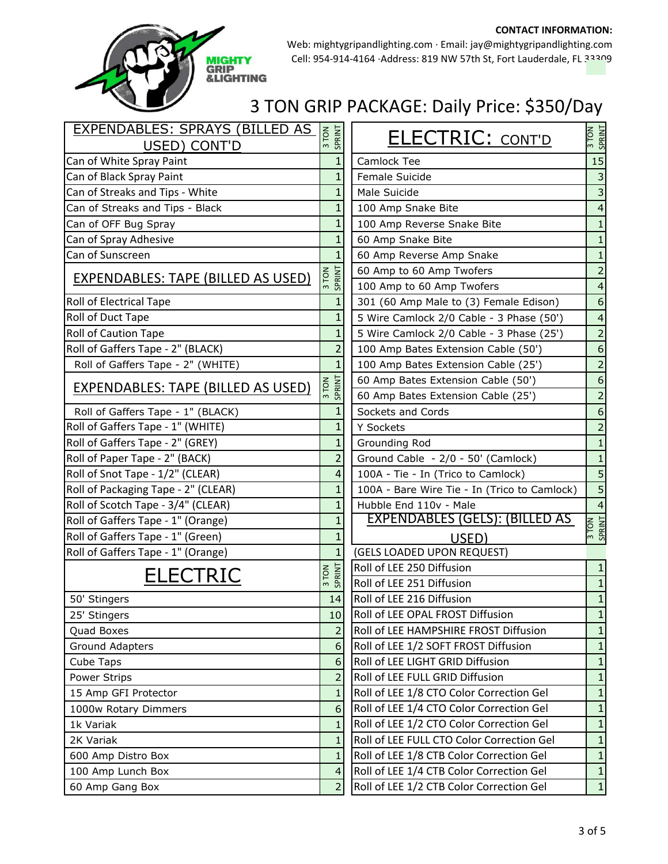

Web: mightygripandlighting.com ∙ Email: jay@mightygripandlighting.com Cell: 954‐914‐4164 ∙Address: 819 NW 57th St, Fort Lauderdale, FL 33309

| EXPENDABLES: SPRAYS (BILLED AS            |                 |                                                       | 3 TON<br>SPRINT         |
|-------------------------------------------|-----------------|-------------------------------------------------------|-------------------------|
| USED) CONT'D                              | 3 TON<br>SPRINT | <b>ELECTRIC: CONT'D</b>                               |                         |
| Can of White Spray Paint                  | $\mathbf{1}$    | Camlock Tee                                           | 15                      |
| Can of Black Spray Paint                  | 1               | Female Suicide                                        | 3                       |
| Can of Streaks and Tips - White           | $\mathbf{1}$    | Male Suicide                                          | 3                       |
| Can of Streaks and Tips - Black           | 1               | 100 Amp Snake Bite                                    |                         |
| Can of OFF Bug Spray                      | 1               | 100 Amp Reverse Snake Bite                            |                         |
| Can of Spray Adhesive                     | 1               | 60 Amp Snake Bite                                     |                         |
| Can of Sunscreen                          | $\mathbf{1}$    | 60 Amp Reverse Amp Snake                              | $\mathbf{1}$            |
| <b>EXPENDABLES: TAPE (BILLED AS USED)</b> | SPRINT          | 60 Amp to 60 Amp Twofers<br>100 Amp to 60 Amp Twofers | $\overline{2}$<br>4     |
| <b>Roll of Electrical Tape</b>            | 1               | 301 (60 Amp Male to (3) Female Edison)                | 6                       |
| Roll of Duct Tape                         | $\mathbf{1}$    | 5 Wire Camlock 2/0 Cable - 3 Phase (50')              | 4                       |
| <b>Roll of Caution Tape</b>               | 1               | 5 Wire Camlock 2/0 Cable - 3 Phase (25')              | $\overline{2}$          |
| Roll of Gaffers Tape - 2" (BLACK)         | 2               | 100 Amp Bates Extension Cable (50')                   | 6                       |
| Roll of Gaffers Tape - 2" (WHITE)         | 1               | 100 Amp Bates Extension Cable (25')                   | 2                       |
|                                           |                 | 60 Amp Bates Extension Cable (50')                    | 6                       |
| <b>EXPENDABLES: TAPE (BILLED AS USED)</b> | SPRINT<br>3 TON | 60 Amp Bates Extension Cable (25')                    | $\overline{2}$          |
| Roll of Gaffers Tape - 1" (BLACK)         | 1               | Sockets and Cords                                     | 6                       |
| Roll of Gaffers Tape - 1" (WHITE)         | 1               | Y Sockets                                             | 2                       |
| Roll of Gaffers Tape - 2" (GREY)          | 1               | Grounding Rod                                         |                         |
| Roll of Paper Tape - 2" (BACK)            | 2               | Ground Cable - 2/0 - 50' (Camlock)                    |                         |
| Roll of Snot Tape - 1/2" (CLEAR)          | 4               | 100A - Tie - In (Trico to Camlock)                    | 5                       |
| Roll of Packaging Tape - 2" (CLEAR)       | 1               | 100A - Bare Wire Tie - In (Trico to Camlock)          | 5                       |
| Roll of Scotch Tape - 3/4" (CLEAR)        | 1               | Hubble End 110v - Male                                | $\overline{\mathbf{4}}$ |
| Roll of Gaffers Tape - 1" (Orange)        | 1               | <b>EXPENDABLES (GELS): (BILLED AS</b>                 |                         |
| Roll of Gaffers Tape - 1" (Green)         |                 | USED)                                                 | 3 TON<br>SPRINT         |
| Roll of Gaffers Tape - 1" (Orange)        | $\mathbf{1}$    | (GELS LOADED UPON REQUEST)                            |                         |
|                                           |                 | Roll of LEE 250 Diffusion                             | 1                       |
| <b>ELECTRIC</b>                           | 3 TON           | Roll of LEE 251 Diffusion                             | 1                       |
| 50' Stingers                              | 14              | Roll of LEE 216 Diffusion                             | $\mathbf{1}$            |
| 25' Stingers                              | 10              | Roll of LEE OPAL FROST Diffusion                      | 1                       |
| Quad Boxes                                | $\overline{2}$  | Roll of LEE HAMPSHIRE FROST Diffusion                 | $\mathbf{1}$            |
| Ground Adapters                           | 6               | Roll of LEE 1/2 SOFT FROST Diffusion                  | $\mathbf{1}$            |
| Cube Taps                                 | 6               | Roll of LEE LIGHT GRID Diffusion                      | $\mathbf{1}$            |
| Power Strips                              | $\overline{2}$  | Roll of LEE FULL GRID Diffusion                       | $\mathbf{1}$            |
| 15 Amp GFI Protector                      | $\mathbf{1}$    | Roll of LEE 1/8 CTO Color Correction Gel              | $\mathbf{1}$            |
| 1000w Rotary Dimmers                      | 6               | Roll of LEE 1/4 CTO Color Correction Gel              | $\mathbf{1}$            |
| 1k Variak                                 | $\mathbf{1}$    | Roll of LEE 1/2 CTO Color Correction Gel              | $\mathbf{1}$            |
| 2K Variak                                 | $\mathbf{1}$    | Roll of LEE FULL CTO Color Correction Gel             | $\mathbf{1}$            |
| 600 Amp Distro Box                        | $\mathbf{1}$    | Roll of LEE 1/8 CTB Color Correction Gel              | $\mathbf{1}$            |
| 100 Amp Lunch Box                         | 4               | Roll of LEE 1/4 CTB Color Correction Gel              | $\mathbf 1$             |
| 60 Amp Gang Box                           | $\overline{2}$  | Roll of LEE 1/2 CTB Color Correction Gel              | $\mathbf 1$             |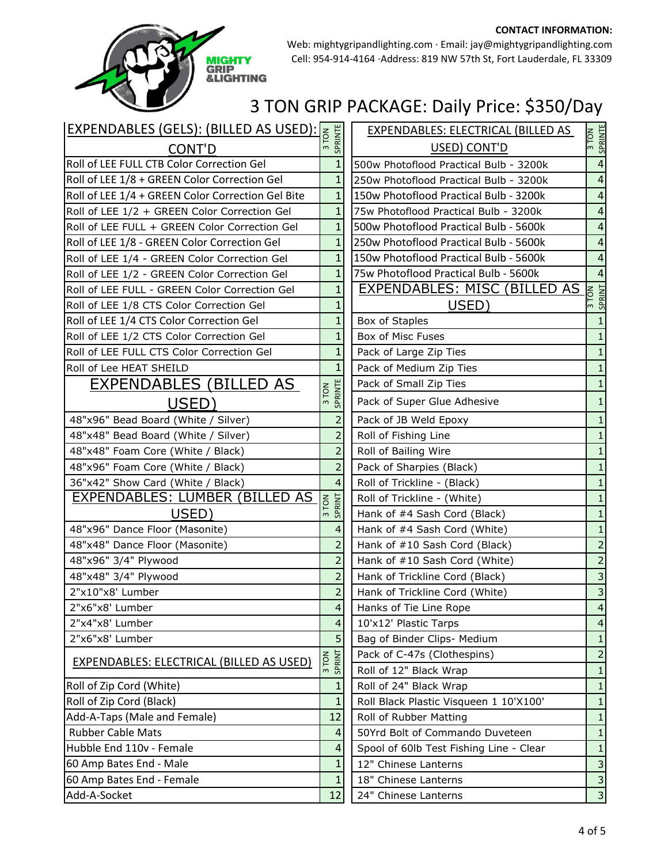

Web: mightygripandlighting.com ∙ Email: jay@mightygripandlighting.com Cell: 954‐914‐4164 ∙Address: 819 NW 57th St, Fort Lauderdale, FL 33309

|                                                   |                  |                          | <b>EXPENDABLES: ELECTRICAL (BILLED AS</b> |                           |
|---------------------------------------------------|------------------|--------------------------|-------------------------------------------|---------------------------|
| EXPENDABLES (GELS): (BILLED AS USED): E           |                  |                          | USED) CONT'D                              | 3 TON<br>SPRINTE          |
| Roll of LEE FULL CTB Color Correction Gel         |                  | $\mathbf{1}$             | 500w Photoflood Practical Bulb - 3200k    | 4                         |
| Roll of LEE 1/8 + GREEN Color Correction Gel      |                  | $\mathbf{1}$             | 250w Photoflood Practical Bulb - 3200k    | 4                         |
| Roll of LEE 1/4 + GREEN Color Correction Gel Bite |                  | $\mathbf{1}$             | 150w Photoflood Practical Bulb - 3200k    | $\overline{4}$            |
| Roll of LEE 1/2 + GREEN Color Correction Gel      |                  | $\mathbf{1}$             | 75w Photoflood Practical Bulb - 3200k     | 4                         |
| Roll of LEE FULL + GREEN Color Correction Gel     |                  | $\mathbf{1}$             | 500w Photoflood Practical Bulb - 5600k    | 4                         |
| Roll of LEE 1/8 - GREEN Color Correction Gel      |                  | $\mathbf{1}$             | 250w Photoflood Practical Bulb - 5600k    | 4                         |
| Roll of LEE 1/4 - GREEN Color Correction Gel      |                  | $\mathbf{1}$             | 150w Photoflood Practical Bulb - 5600k    | 4                         |
| Roll of LEE 1/2 - GREEN Color Correction Gel      |                  | $\mathbf{1}$             | 75w Photoflood Practical Bulb - 5600k     | $\overline{4}$            |
| Roll of LEE FULL - GREEN Color Correction Gel     |                  | $\mathbf{1}$             | <b>EXPENDABLES: MISC (BILLED AS</b>       | 3 TON<br>SPRINT           |
| Roll of LEE 1/8 CTS Color Correction Gel          |                  | 1                        | USED)                                     |                           |
| Roll of LEE 1/4 CTS Color Correction Gel          |                  | $\overline{1}$           | Box of Staples                            |                           |
| Roll of LEE 1/2 CTS Color Correction Gel          |                  | $\mathbf{1}$             | Box of Misc Fuses                         |                           |
| Roll of LEE FULL CTS Color Correction Gel         |                  | 1                        | Pack of Large Zip Ties                    |                           |
| Roll of Lee HEAT SHEILD                           |                  | $\mathbf{1}$             | Pack of Medium Zip Ties                   |                           |
| EXPENDABLES (BILLED AS                            |                  |                          | Pack of Small Zip Ties                    |                           |
| USED)                                             | SPRINTE<br>3 TON |                          | Pack of Super Glue Adhesive               | 1                         |
| 48"x96" Bead Board (White / Silver)               |                  | $\overline{2}$           | Pack of JB Weld Epoxy                     | $\mathbf{1}$              |
| 48"x48" Bead Board (White / Silver)               |                  | 2                        | Roll of Fishing Line                      |                           |
| 48"x48" Foam Core (White / Black)                 |                  | $\overline{2}$           | Roll of Bailing Wire                      |                           |
| 48"x96" Foam Core (White / Black)                 |                  | $\overline{2}$           | Pack of Sharpies (Black)                  |                           |
| 36"x42" Show Card (White / Black)                 |                  | $\overline{4}$           | Roll of Trickline - (Black)               |                           |
| EXPENDABLES: LUMBER (BILLED AS                    | 3 TON<br>SPRINT  |                          | Roll of Trickline - (White)               |                           |
| USED)                                             |                  |                          | Hank of #4 Sash Cord (Black)              |                           |
| 48"x96" Dance Floor (Masonite)                    |                  | 4                        | Hank of #4 Sash Cord (White)              | $\mathbf{1}$              |
| 48"x48" Dance Floor (Masonite)                    |                  | $\overline{2}$           | Hank of #10 Sash Cord (Black)             | $\overline{2}$            |
| 48"x96" 3/4" Plywood                              |                  | $\overline{2}$           | Hank of #10 Sash Cord (White)             | $\overline{2}$            |
| 48"x48" 3/4" Plywood                              |                  | $\overline{2}$           | Hank of Trickline Cord (Black)            | 3                         |
| 2"x10"x8' Lumber                                  |                  | $\overline{2}$           | Hank of Trickline Cord (White)            | 3                         |
| 2"x6"x8' Lumber                                   |                  | $\overline{\mathcal{L}}$ | Hanks of Tie Line Rope                    | $\overline{4}$            |
| 2"x4"x8' Lumber                                   |                  | 4                        | 10'x12' Plastic Tarps                     | $\overline{4}$            |
| 2"x6"x8' Lumber                                   |                  | 5                        | Bag of Binder Clips- Medium               | 1                         |
| <b>EXPENDABLES: ELECTRICAL (BILLED AS USED)</b>   | SPRINT<br>3 TON  |                          | Pack of C-47s (Clothespins)               | 2                         |
|                                                   |                  |                          | Roll of 12" Black Wrap                    | 1                         |
| Roll of Zip Cord (White)                          |                  | $\mathbf{1}$             | Roll of 24" Black Wrap                    | 1                         |
| Roll of Zip Cord (Black)                          |                  | $\mathbf{1}$             | Roll Black Plastic Visqueen 1 10'X100'    | $\mathbf{1}$              |
| Add-A-Taps (Male and Female)                      | 12               |                          | Roll of Rubber Matting                    | 1                         |
| <b>Rubber Cable Mats</b>                          |                  | 4                        | 50Yrd Bolt of Commando Duveteen           | 1                         |
| Hubble End 110v - Female                          |                  | 4                        | Spool of 60lb Test Fishing Line - Clear   | $\mathbf{1}$              |
| 60 Amp Bates End - Male                           |                  |                          | 12" Chinese Lanterns                      | 3                         |
| 60 Amp Bates End - Female                         |                  | 1                        | 18" Chinese Lanterns                      | $\mathsf 3$               |
| Add-A-Socket                                      | 12               |                          | 24" Chinese Lanterns                      | $\ensuremath{\mathsf{3}}$ |